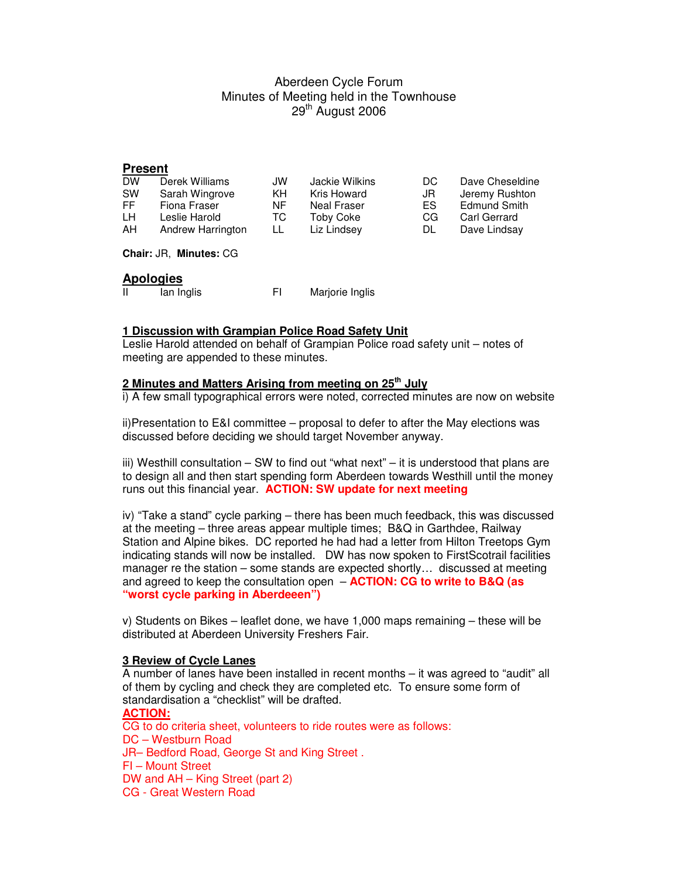# Aberdeen Cycle Forum Minutes of Meeting held in the Townhouse 29<sup>th</sup> August 2006

## **Present**

| <b>DW</b> | Derek Williams    | JW  | Jackie Wilkins   | DC. | Dave Cheseldine |
|-----------|-------------------|-----|------------------|-----|-----------------|
| <b>SW</b> | Sarah Wingrove    | KH. | Kris Howard      | JR  | Jeremy Rushton  |
| FF.       | Fiona Fraser      | NF. | Neal Fraser      | ES. | Edmund Smith    |
| LH.       | Leslie Harold     | TC. | <b>Toby Coke</b> | CG  | Carl Gerrard    |
| AH        | Andrew Harrington | LL  | Liz Lindsey      | DL  | Dave Lindsay    |
|           |                   |     |                  |     |                 |

**Chair:** JR, **Minutes:** CG

## **Apologies**

| -11<br>lan Inglis |  | Marjorie Inglis |
|-------------------|--|-----------------|
|-------------------|--|-----------------|

## **1 Discussion with Grampian Police Road Safety Unit**

Leslie Harold attended on behalf of Grampian Police road safety unit – notes of meeting are appended to these minutes.

# **2 Minutes and Matters Arising from meeting on 25th July**

i) A few small typographical errors were noted, corrected minutes are now on website

ii)Presentation to E&I committee – proposal to defer to after the May elections was discussed before deciding we should target November anyway.

iii) Westhill consultation – SW to find out "what next" – it is understood that plans are to design all and then start spending form Aberdeen towards Westhill until the money runs out this financial year. **ACTION: SW update for next meeting**

iv) "Take a stand" cycle parking – there has been much feedback, this was discussed at the meeting – three areas appear multiple times; B&Q in Garthdee, Railway Station and Alpine bikes. DC reported he had had a letter from Hilton Treetops Gym indicating stands will now be installed. DW has now spoken to FirstScotrail facilities manager re the station – some stands are expected shortly… discussed at meeting and agreed to keep the consultation open – **ACTION: CG to write to B&Q (as "worst cycle parking in Aberdeeen")**

v) Students on Bikes – leaflet done, we have 1,000 maps remaining – these will be distributed at Aberdeen University Freshers Fair.

### **3 Review of Cycle Lanes**

A number of lanes have been installed in recent months – it was agreed to "audit" all of them by cycling and check they are completed etc. To ensure some form of standardisation a "checklist" will be drafted.

**ACTION:**  CG to do criteria sheet, volunteers to ride routes were as follows: DC – Westburn Road JR– Bedford Road, George St and King Street . FI – Mount Street DW and AH – King Street (part 2) CG - Great Western Road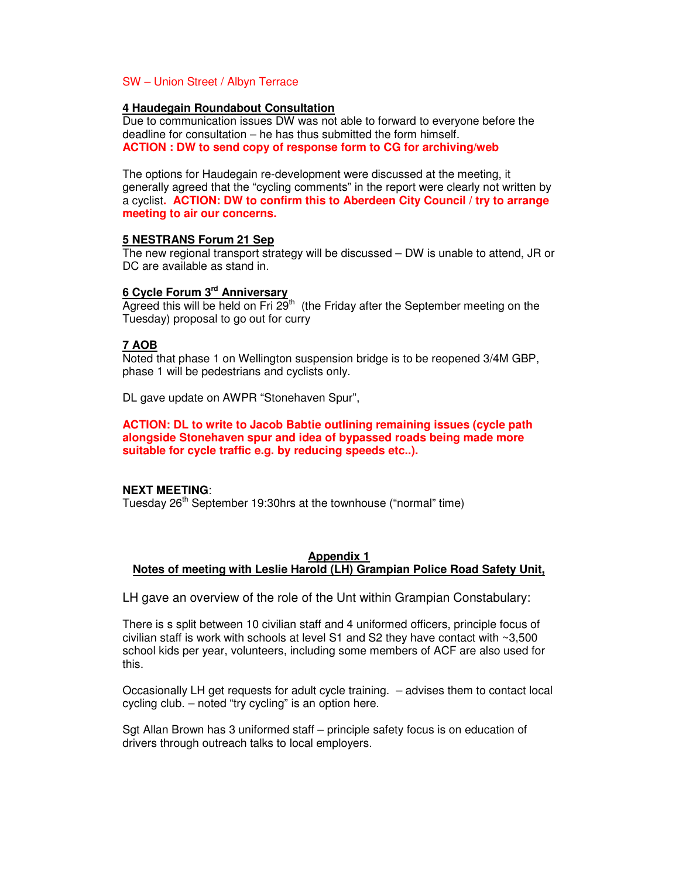### SW – Union Street / Albyn Terrace

### **4 Haudegain Roundabout Consultation**

Due to communication issues DW was not able to forward to everyone before the deadline for consultation – he has thus submitted the form himself. **ACTION : DW to send copy of response form to CG for archiving/web** 

The options for Haudegain re-development were discussed at the meeting, it generally agreed that the "cycling comments" in the report were clearly not written by a cyclist**. ACTION: DW to confirm this to Aberdeen City Council / try to arrange meeting to air our concerns.**

## **5 NESTRANS Forum 21 Sep**

The new regional transport strategy will be discussed – DW is unable to attend, JR or DC are available as stand in.

## **6 Cycle Forum 3rd Anniversary**

Agreed this will be held on Fri  $29<sup>th</sup>$  (the Friday after the September meeting on the Tuesday) proposal to go out for curry

## **7 AOB**

Noted that phase 1 on Wellington suspension bridge is to be reopened 3/4M GBP, phase 1 will be pedestrians and cyclists only.

DL gave update on AWPR "Stonehaven Spur",

**ACTION: DL to write to Jacob Babtie outlining remaining issues (cycle path alongside Stonehaven spur and idea of bypassed roads being made more suitable for cycle traffic e.g. by reducing speeds etc..).** 

## **NEXT MEETING**:

Tuesday 26<sup>th</sup> September 19:30hrs at the townhouse ("normal" time)

### **Appendix 1 Notes of meeting with Leslie Harold (LH) Grampian Police Road Safety Unit,**

LH gave an overview of the role of the Unt within Grampian Constabulary:

There is s split between 10 civilian staff and 4 uniformed officers, principle focus of civilian staff is work with schools at level S1 and S2 they have contact with  $\sim 3,500$ school kids per year, volunteers, including some members of ACF are also used for this.

Occasionally LH get requests for adult cycle training. – advises them to contact local cycling club. – noted "try cycling" is an option here.

Sgt Allan Brown has 3 uniformed staff – principle safety focus is on education of drivers through outreach talks to local employers.